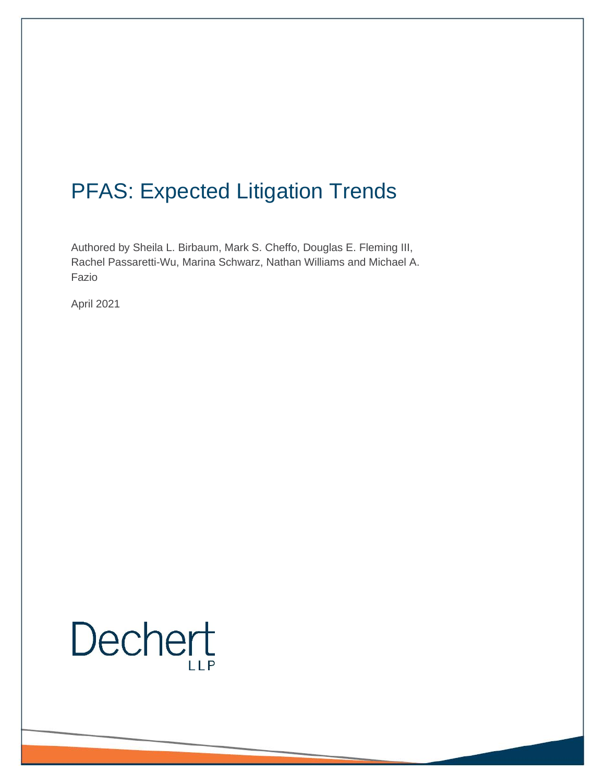## PFAS: Expected Litigation Trends

Authored by Sheila L. Birbaum, Mark S. Cheffo, Douglas E. Fleming III, Rachel Passaretti-Wu, Marina Schwarz, Nathan Williams and Michael A. Fazio

April 2021

# Dechert  $IIP$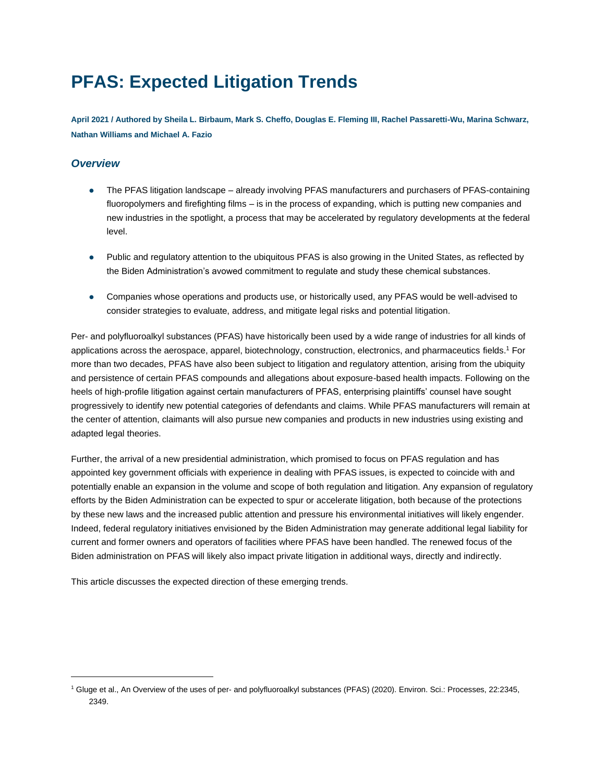### **PFAS: Expected Litigation Trends**

**April 2021 / Authored by Sheila L. Birbaum, Mark S. Cheffo, Douglas E. Fleming III, Rachel Passaretti-Wu, Marina Schwarz, Nathan Williams and Michael A. Fazio**

### *Overview*

- ⚫ The PFAS litigation landscape already involving PFAS manufacturers and purchasers of PFAS-containing fluoropolymers and firefighting films – is in the process of expanding, which is putting new companies and new industries in the spotlight, a process that may be accelerated by regulatory developments at the federal level.
- ⚫ Public and regulatory attention to the ubiquitous PFAS is also growing in the United States, as reflected by the Biden Administration's avowed commitment to regulate and study these chemical substances.
- ⚫ Companies whose operations and products use, or historically used, any PFAS would be well-advised to consider strategies to evaluate, address, and mitigate legal risks and potential litigation.

Per- and polyfluoroalkyl substances (PFAS) have historically been used by a wide range of industries for all kinds of applications across the aerospace, apparel, biotechnology, construction, electronics, and pharmaceutics fields.<sup>1</sup> For more than two decades, PFAS have also been subject to litigation and regulatory attention, arising from the ubiquity and persistence of certain PFAS compounds and allegations about exposure-based health impacts. Following on the heels of high-profile litigation against certain manufacturers of PFAS, enterprising plaintiffs' counsel have sought progressively to identify new potential categories of defendants and claims. While PFAS manufacturers will remain at the center of attention, claimants will also pursue new companies and products in new industries using existing and adapted legal theories.

Further, the arrival of a new presidential administration, which promised to focus on PFAS regulation and has appointed key government officials with experience in dealing with PFAS issues, is expected to coincide with and potentially enable an expansion in the volume and scope of both regulation and litigation. Any expansion of regulatory efforts by the Biden Administration can be expected to spur or accelerate litigation, both because of the protections by these new laws and the increased public attention and pressure his environmental initiatives will likely engender. Indeed, federal regulatory initiatives envisioned by the Biden Administration may generate additional legal liability for current and former owners and operators of facilities where PFAS have been handled. The renewed focus of the Biden administration on PFAS will likely also impact private litigation in additional ways, directly and indirectly.

This article discusses the expected direction of these emerging trends.

<sup>1</sup> Gluge et al., An Overview of the uses of per- and polyfluoroalkyl substances (PFAS) (2020). Environ. Sci.: Processes, 22:2345, 2349.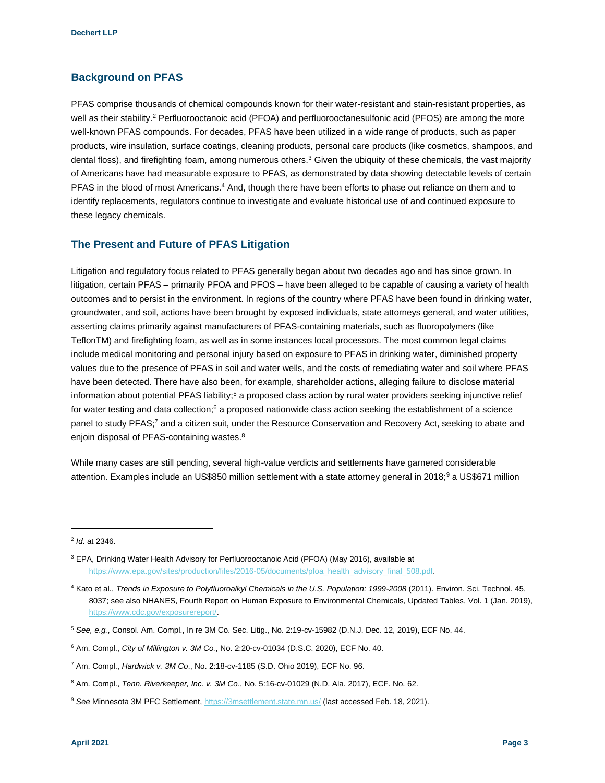#### **Background on PFAS**

PFAS comprise thousands of chemical compounds known for their water-resistant and stain-resistant properties, as well as their stability.<sup>2</sup> Perfluorooctanoic acid (PFOA) and perfluorooctanesulfonic acid (PFOS) are among the more well-known PFAS compounds. For decades, PFAS have been utilized in a wide range of products, such as paper products, wire insulation, surface coatings, cleaning products, personal care products (like cosmetics, shampoos, and dental floss), and firefighting foam, among numerous others.<sup>3</sup> Given the ubiquity of these chemicals, the vast majority of Americans have had measurable exposure to PFAS, as demonstrated by data showing detectable levels of certain PFAS in the blood of most Americans.<sup>4</sup> And, though there have been efforts to phase out reliance on them and to identify replacements, regulators continue to investigate and evaluate historical use of and continued exposure to these legacy chemicals.

#### **The Present and Future of PFAS Litigation**

Litigation and regulatory focus related to PFAS generally began about two decades ago and has since grown. In litigation, certain PFAS – primarily PFOA and PFOS – have been alleged to be capable of causing a variety of health outcomes and to persist in the environment. In regions of the country where PFAS have been found in drinking water, groundwater, and soil, actions have been brought by exposed individuals, state attorneys general, and water utilities, asserting claims primarily against manufacturers of PFAS-containing materials, such as fluoropolymers (like TeflonTM) and firefighting foam, as well as in some instances local processors. The most common legal claims include medical monitoring and personal injury based on exposure to PFAS in drinking water, diminished property values due to the presence of PFAS in soil and water wells, and the costs of remediating water and soil where PFAS have been detected. There have also been, for example, shareholder actions, alleging failure to disclose material information about potential PFAS liability;<sup>5</sup> a proposed class action by rural water providers seeking injunctive relief for water testing and data collection;<sup>6</sup> a proposed nationwide class action seeking the establishment of a science panel to study PFAS;<sup>7</sup> and a citizen suit, under the Resource Conservation and Recovery Act, seeking to abate and enjoin disposal of PFAS-containing wastes.<sup>8</sup>

While many cases are still pending, several high-value verdicts and settlements have garnered considerable attention. Examples include an US\$850 million settlement with a state attorney general in 2018;<sup>9</sup> a US\$671 million

<sup>2</sup> *Id*. at 2346.

<sup>3</sup> EPA, Drinking Water Health Advisory for Perfluorooctanoic Acid (PFOA) (May 2016), available at [https://www.epa.gov/sites/production/files/2016-05/documents/pfoa\\_health\\_advisory\\_final\\_508.pdf.](https://www.epa.gov/sites/production/files/2016-05/documents/pfoa_health_advisory_final_508.pdf)

<sup>&</sup>lt;sup>4</sup> Kato et al., *Trends in Exposure to Polyfluoroalkyl Chemicals in the U.S. Population: 1999-2008 (2011). Environ. Sci. Technol. 45,* 8037; see also NHANES, Fourth Report on Human Exposure to Environmental Chemicals, Updated Tables, Vol. 1 (Jan. 2019), [https://www.cdc.gov/exposurereport/.](https://www.cdc.gov/exposurereport/)

<sup>5</sup> *See, e.g.*, Consol. Am. Compl., In re 3M Co. Sec. Litig., No. 2:19-cv-15982 (D.N.J. Dec. 12, 2019), ECF No. 44.

<sup>6</sup> Am. Compl., *City of Millington v. 3M Co.*, No. 2:20-cv-01034 (D.S.C. 2020), ECF No. 40.

<sup>7</sup> Am. Compl., *Hardwick v. 3M Co*., No. 2:18-cv-1185 (S.D. Ohio 2019), ECF No. 96.

<sup>8</sup> Am. Compl., *Tenn. Riverkeeper, Inc. v. 3M Co*., No. 5:16-cv-01029 (N.D. Ala. 2017), ECF. No. 62.

<sup>9</sup> *See* Minnesota 3M PFC Settlement,<https://3msettlement.state.mn.us/> (last accessed Feb. 18, 2021).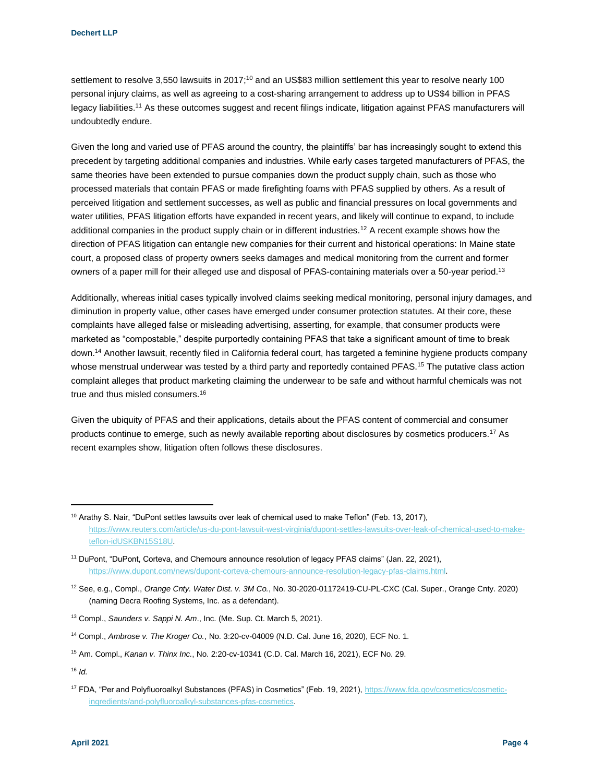settlement to resolve 3,550 lawsuits in 2017;<sup>10</sup> and an US\$83 million settlement this year to resolve nearly 100 personal injury claims, as well as agreeing to a cost-sharing arrangement to address up to US\$4 billion in PFAS legacy liabilities.<sup>11</sup> As these outcomes suggest and recent filings indicate, litigation against PFAS manufacturers will undoubtedly endure.

Given the long and varied use of PFAS around the country, the plaintiffs' bar has increasingly sought to extend this precedent by targeting additional companies and industries. While early cases targeted manufacturers of PFAS, the same theories have been extended to pursue companies down the product supply chain, such as those who processed materials that contain PFAS or made firefighting foams with PFAS supplied by others. As a result of perceived litigation and settlement successes, as well as public and financial pressures on local governments and water utilities, PFAS litigation efforts have expanded in recent years, and likely will continue to expand, to include additional companies in the product supply chain or in different industries.<sup>12</sup> A recent example shows how the direction of PFAS litigation can entangle new companies for their current and historical operations: In Maine state court, a proposed class of property owners seeks damages and medical monitoring from the current and former owners of a paper mill for their alleged use and disposal of PFAS-containing materials over a 50-year period.<sup>13</sup>

Additionally, whereas initial cases typically involved claims seeking medical monitoring, personal injury damages, and diminution in property value, other cases have emerged under consumer protection statutes. At their core, these complaints have alleged false or misleading advertising, asserting, for example, that consumer products were marketed as "compostable," despite purportedly containing PFAS that take a significant amount of time to break down.<sup>14</sup> Another lawsuit, recently filed in California federal court, has targeted a feminine hygiene products company whose menstrual underwear was tested by a third party and reportedly contained PFAS.<sup>15</sup> The putative class action complaint alleges that product marketing claiming the underwear to be safe and without harmful chemicals was not true and thus misled consumers.<sup>16</sup>

Given the ubiquity of PFAS and their applications, details about the PFAS content of commercial and consumer products continue to emerge, such as newly available reporting about disclosures by cosmetics producers.<sup>17</sup> As recent examples show, litigation often follows these disclosures.

<sup>16</sup> *Id.*

<sup>&</sup>lt;sup>10</sup> Arathy S. Nair, "DuPont settles lawsuits over leak of chemical used to make Teflon" (Feb. 13, 2017), [https://www.reuters.com/article/us-du-pont-lawsuit-west-virginia/dupont-settles-lawsuits-over-leak-of-chemical-used-to-make](https://www.reuters.com/article/us-du-pont-lawsuit-west-virginia/dupont-settles-lawsuits-over-leak-of-chemical-used-to-make-teflon-idUSKBN15S18U)[teflon-idUSKBN15S18U.](https://www.reuters.com/article/us-du-pont-lawsuit-west-virginia/dupont-settles-lawsuits-over-leak-of-chemical-used-to-make-teflon-idUSKBN15S18U)

<sup>11</sup> DuPont, "DuPont, Corteva, and Chemours announce resolution of legacy PFAS claims" (Jan. 22, 2021), [https://www.dupont.com/news/dupont-corteva-chemours-announce-resolution-legacy-pfas-claims.html.](https://www.dupont.com/news/dupont-corteva-chemours-announce-resolution-legacy-pfas-claims.html)

<sup>12</sup> See, e.g., Compl., *Orange Cnty. Water Dist. v. 3M Co.*, No. 30-2020-01172419-CU-PL-CXC (Cal. Super., Orange Cnty. 2020) (naming Decra Roofing Systems, Inc. as a defendant).

<sup>13</sup> Compl., *Saunders v. Sappi N. Am*., Inc. (Me. Sup. Ct. March 5, 2021).

<sup>14</sup> Compl., *Ambrose v. The Kroger Co.*, No. 3:20-cv-04009 (N.D. Cal. June 16, 2020), ECF No. 1.

<sup>15</sup> Am. Compl., *Kanan v. Thinx Inc.*, No. 2:20-cv-10341 (C.D. Cal. March 16, 2021), ECF No. 29.

<sup>17</sup> FDA, "Per and Polyfluoroalkyl Substances (PFAS) in Cosmetics" (Feb. 19, 2021), [https://www.fda.gov/cosmetics/cosmetic](https://www.fda.gov/cosmetics/cosmetic-ingredients/and-polyfluoroalkyl-substances-pfas-cosmetics)[ingredients/and-polyfluoroalkyl-substances-pfas-cosmetics.](https://www.fda.gov/cosmetics/cosmetic-ingredients/and-polyfluoroalkyl-substances-pfas-cosmetics)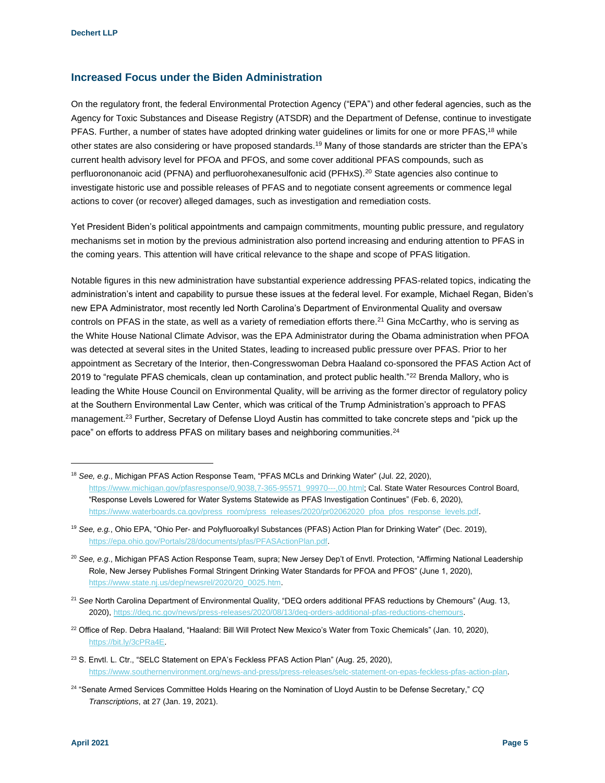#### **Increased Focus under the Biden Administration**

On the regulatory front, the federal Environmental Protection Agency ("EPA") and other federal agencies, such as the Agency for Toxic Substances and Disease Registry (ATSDR) and the Department of Defense, continue to investigate PFAS. Further, a number of states have adopted drinking water guidelines or limits for one or more PFAS,<sup>18</sup> while other states are also considering or have proposed standards.<sup>19</sup> Many of those standards are stricter than the EPA's current health advisory level for PFOA and PFOS, and some cover additional PFAS compounds, such as perfluorononanoic acid (PFNA) and perfluorohexanesulfonic acid (PFHxS).<sup>20</sup> State agencies also continue to investigate historic use and possible releases of PFAS and to negotiate consent agreements or commence legal actions to cover (or recover) alleged damages, such as investigation and remediation costs.

Yet President Biden's political appointments and campaign commitments, mounting public pressure, and regulatory mechanisms set in motion by the previous administration also portend increasing and enduring attention to PFAS in the coming years. This attention will have critical relevance to the shape and scope of PFAS litigation.

Notable figures in this new administration have substantial experience addressing PFAS-related topics, indicating the administration's intent and capability to pursue these issues at the federal level. For example, Michael Regan, Biden's new EPA Administrator, most recently led North Carolina's Department of Environmental Quality and oversaw controls on PFAS in the state, as well as a variety of remediation efforts there.<sup>21</sup> Gina McCarthy, who is serving as the White House National Climate Advisor, was the EPA Administrator during the Obama administration when PFOA was detected at several sites in the United States, leading to increased public pressure over PFAS. Prior to her appointment as Secretary of the Interior, then-Congresswoman Debra Haaland co-sponsored the PFAS Action Act of 2019 to "regulate PFAS chemicals, clean up contamination, and protect public health."<sup>22</sup> Brenda Mallory, who is leading the White House Council on Environmental Quality, will be arriving as the former director of regulatory policy at the Southern Environmental Law Center, which was critical of the Trump Administration's approach to PFAS management.<sup>23</sup> Further, Secretary of Defense Lloyd Austin has committed to take concrete steps and "pick up the pace" on efforts to address PFAS on military bases and neighboring communities.<sup>24</sup>

<sup>22</sup> Office of Rep. Debra Haaland, "Haaland: Bill Will Protect New Mexico's Water from Toxic Chemicals" (Jan. 10, 2020), [https://bit.ly/3cPRa4E.](https://bit.ly/3cPRa4E)

<sup>18</sup> *See, e.g*., Michigan PFAS Action Response Team, "PFAS MCLs and Drinking Water" (Jul. 22, 2020), [https://www.michigan.gov/pfasresponse/0,9038,7-365-95571\\_99970---,00.html;](https://www.michigan.gov/pfasresponse/0,9038,7-365-95571_99970---,00.html) Cal. State Water Resources Control Board, "Response Levels Lowered for Water Systems Statewide as PFAS Investigation Continues" (Feb. 6, 2020), [https://www.waterboards.ca.gov/press\\_room/press\\_releases/2020/pr02062020\\_pfoa\\_pfos\\_response\\_levels.pdf.](https://www.waterboards.ca.gov/press_room/press_releases/2020/pr02062020_pfoa_pfos_response_levels.pdf)

<sup>19</sup> *See, e.g.*, Ohio EPA, "Ohio Per- and Polyfluoroalkyl Substances (PFAS) Action Plan for Drinking Water" (Dec. 2019), [https://epa.ohio.gov/Portals/28/documents/pfas/PFASActionPlan.pdf.](https://epa.ohio.gov/Portals/28/documents/pfas/PFASActionPlan.pdf) 

<sup>20</sup> *See, e.g*., Michigan PFAS Action Response Team, supra; New Jersey Dep't of Envtl. Protection, "Affirming National Leadership Role, New Jersey Publishes Formal Stringent Drinking Water Standards for PFOA and PFOS" (June 1, 2020), [https://www.state.nj.us/dep/newsrel/2020/20\\_0025.htm.](https://www.state.nj.us/dep/newsrel/2020/20_0025.htm)

<sup>21</sup> *See* North Carolina Department of Environmental Quality, "DEQ orders additional PFAS reductions by Chemours" (Aug. 13, 2020), [https://deq.nc.gov/news/press-releases/2020/08/13/deq-orders-additional-pfas-reductions-chemours.](https://deq.nc.gov/news/press-releases/2020/08/13/deq-orders-additional-pfas-reductions-chemours)

<sup>&</sup>lt;sup>23</sup> S. Envtl. L. Ctr., "SELC Statement on EPA's Feckless PFAS Action Plan" (Aug. 25, 2020), [https://www.southernenvironment.org/news-and-press/press-releases/selc-statement-on-epas-feckless-pfas-action-plan.](https://www.southernenvironment.org/news-and-press/press-releases/selc-statement-on-epas-feckless-pfas-action-plan)

<sup>24</sup> "Senate Armed Services Committee Holds Hearing on the Nomination of Lloyd Austin to be Defense Secretary," *CQ Transcriptions*, at 27 (Jan. 19, 2021).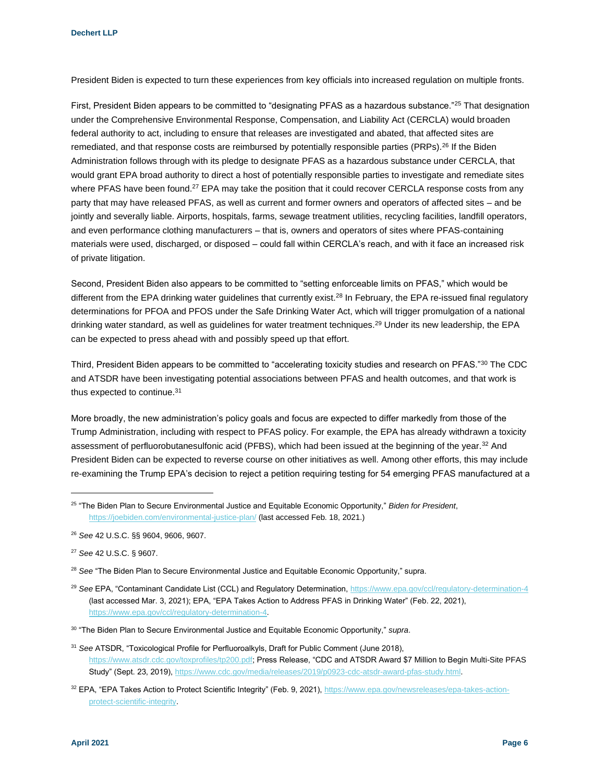President Biden is expected to turn these experiences from key officials into increased regulation on multiple fronts.

First, President Biden appears to be committed to "designating PFAS as a hazardous substance."<sup>25</sup> That designation under the Comprehensive Environmental Response, Compensation, and Liability Act (CERCLA) would broaden federal authority to act, including to ensure that releases are investigated and abated, that affected sites are remediated, and that response costs are reimbursed by potentially responsible parties (PRPs).<sup>26</sup> If the Biden Administration follows through with its pledge to designate PFAS as a hazardous substance under CERCLA, that would grant EPA broad authority to direct a host of potentially responsible parties to investigate and remediate sites where PFAS have been found.<sup>27</sup> EPA may take the position that it could recover CERCLA response costs from any party that may have released PFAS, as well as current and former owners and operators of affected sites – and be jointly and severally liable. Airports, hospitals, farms, sewage treatment utilities, recycling facilities, landfill operators, and even performance clothing manufacturers – that is, owners and operators of sites where PFAS-containing materials were used, discharged, or disposed – could fall within CERCLA's reach, and with it face an increased risk of private litigation.

Second, President Biden also appears to be committed to "setting enforceable limits on PFAS," which would be different from the EPA drinking water guidelines that currently exist.<sup>28</sup> In February, the EPA re-issued final regulatory determinations for PFOA and PFOS under the Safe Drinking Water Act, which will trigger promulgation of a national drinking water standard, as well as guidelines for water treatment techniques.<sup>29</sup> Under its new leadership, the EPA can be expected to press ahead with and possibly speed up that effort.

Third, President Biden appears to be committed to "accelerating toxicity studies and research on PFAS."30 The CDC and ATSDR have been investigating potential associations between PFAS and health outcomes, and that work is thus expected to continue.<sup>31</sup>

More broadly, the new administration's policy goals and focus are expected to differ markedly from those of the Trump Administration, including with respect to PFAS policy. For example, the EPA has already withdrawn a toxicity assessment of perfluorobutanesulfonic acid (PFBS), which had been issued at the beginning of the year.<sup>32</sup> And President Biden can be expected to reverse course on other initiatives as well. Among other efforts, this may include re-examining the Trump EPA's decision to reject a petition requiring testing for 54 emerging PFAS manufactured at a

<sup>25</sup> "The Biden Plan to Secure Environmental Justice and Equitable Economic Opportunity," *Biden for President*, <https://joebiden.com/environmental-justice-plan/> (last accessed Feb. 18, 2021.)

<sup>26</sup> *See* 42 U.S.C. §§ 9604, 9606, 9607.

<sup>27</sup> *See* 42 U.S.C. § 9607.

<sup>28</sup> *See* "The Biden Plan to Secure Environmental Justice and Equitable Economic Opportunity," supra.

<sup>29</sup> *See* EPA, "Contaminant Candidate List (CCL) and Regulatory Determination[, https://www.epa.gov/ccl/regulatory-determination-4](https://www.epa.gov/ccl/regulatory-determination-4) (last accessed Mar. 3, 2021); EPA, "EPA Takes Action to Address PFAS in Drinking Water" (Feb. 22, 2021), [https://www.epa.gov/ccl/regulatory-determination-4.](https://www.epa.gov/ccl/regulatory-determination-4)

<sup>30</sup> "The Biden Plan to Secure Environmental Justice and Equitable Economic Opportunity," *supra*.

<sup>31</sup> *See* ATSDR, "Toxicological Profile for Perfluoroalkyls, Draft for Public Comment (June 2018), [https://www.atsdr.cdc.gov/toxprofiles/tp200.pdf;](https://www.atsdr.cdc.gov/toxprofiles/tp200.pdf) Press Release, "CDC and ATSDR Award \$7 Million to Begin Multi-Site PFAS Study" (Sept. 23, 2019), [https://www.cdc.gov/media/releases/2019/p0923-cdc-atsdr-award-pfas-study.html.](https://www.cdc.gov/media/releases/2019/p0923-cdc-atsdr-award-pfas-study.html)

<sup>32</sup> EPA, "EPA Takes Action to Protect Scientific Integrity" (Feb. 9, 2021)[, https://www.epa.gov/newsreleases/epa-takes-action](https://www.epa.gov/newsreleases/epa-takes-action-protect-scientific-integrity)[protect-scientific-integrity.](https://www.epa.gov/newsreleases/epa-takes-action-protect-scientific-integrity)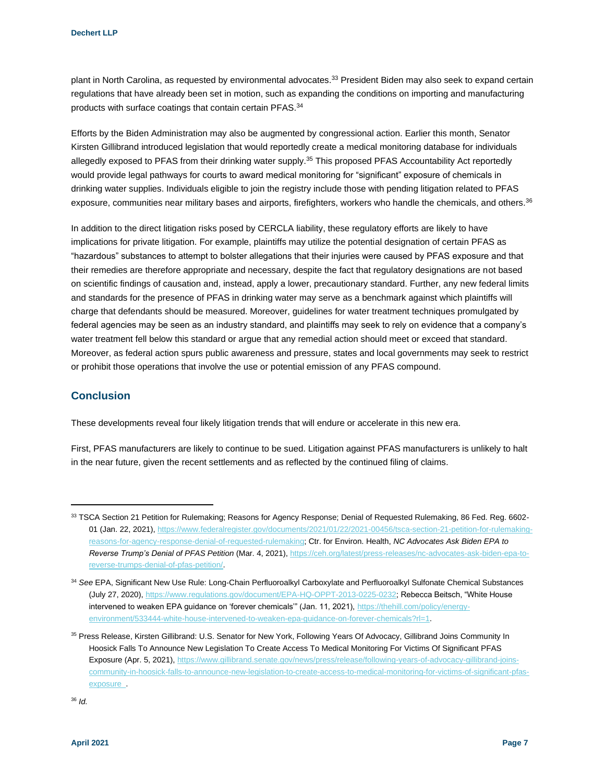plant in North Carolina, as requested by environmental advocates.<sup>33</sup> President Biden may also seek to expand certain regulations that have already been set in motion, such as expanding the conditions on importing and manufacturing products with surface coatings that contain certain PFAS.<sup>34</sup>

Efforts by the Biden Administration may also be augmented by congressional action. Earlier this month, Senator Kirsten Gillibrand introduced legislation that would reportedly create a medical monitoring database for individuals allegedly exposed to PFAS from their drinking water supply.<sup>35</sup> This proposed PFAS Accountability Act reportedly would provide legal pathways for courts to award medical monitoring for "significant" exposure of chemicals in drinking water supplies. Individuals eligible to join the registry include those with pending litigation related to PFAS exposure, communities near military bases and airports, firefighters, workers who handle the chemicals, and others.<sup>36</sup>

In addition to the direct litigation risks posed by CERCLA liability, these regulatory efforts are likely to have implications for private litigation. For example, plaintiffs may utilize the potential designation of certain PFAS as "hazardous" substances to attempt to bolster allegations that their injuries were caused by PFAS exposure and that their remedies are therefore appropriate and necessary, despite the fact that regulatory designations are not based on scientific findings of causation and, instead, apply a lower, precautionary standard. Further, any new federal limits and standards for the presence of PFAS in drinking water may serve as a benchmark against which plaintiffs will charge that defendants should be measured. Moreover, guidelines for water treatment techniques promulgated by federal agencies may be seen as an industry standard, and plaintiffs may seek to rely on evidence that a company's water treatment fell below this standard or argue that any remedial action should meet or exceed that standard. Moreover, as federal action spurs public awareness and pressure, states and local governments may seek to restrict or prohibit those operations that involve the use or potential emission of any PFAS compound.

#### **Conclusion**

These developments reveal four likely litigation trends that will endure or accelerate in this new era.

First, PFAS manufacturers are likely to continue to be sued. Litigation against PFAS manufacturers is unlikely to halt in the near future, given the recent settlements and as reflected by the continued filing of claims.

<sup>33</sup> TSCA Section 21 Petition for Rulemaking; Reasons for Agency Response; Denial of Requested Rulemaking, 86 Fed. Reg. 6602-01 (Jan. 22, 2021)[, https://www.federalregister.gov/documents/2021/01/22/2021-00456/tsca-section-21-petition-for-rulemaking](https://www.federalregister.gov/documents/2021/01/22/2021-00456/tsca-section-21-petition-for-rulemaking-reasons-for-agency-response-denial-of-requested-rulemaking)[reasons-for-agency-response-denial-of-requested-rulemaking;](https://www.federalregister.gov/documents/2021/01/22/2021-00456/tsca-section-21-petition-for-rulemaking-reasons-for-agency-response-denial-of-requested-rulemaking) Ctr. for Environ. Health, *NC Advocates Ask Biden EPA to Reverse Trump's Denial of PFAS Petition* (Mar. 4, 2021)[, https://ceh.org/latest/press-releases/nc-advocates-ask-biden-epa-to](https://ceh.org/latest/press-releases/nc-advocates-ask-biden-epa-to-reverse-trumps-denial-of-pfas-petition/)[reverse-trumps-denial-of-pfas-petition/.](https://ceh.org/latest/press-releases/nc-advocates-ask-biden-epa-to-reverse-trumps-denial-of-pfas-petition/)

<sup>34</sup> *See* EPA, Significant New Use Rule: Long-Chain Perfluoroalkyl Carboxylate and Perfluoroalkyl Sulfonate Chemical Substances (July 27, 2020)[, https://www.regulations.gov/document/EPA-HQ-OPPT-2013-0225-0232;](https://www.regulations.gov/document/EPA-HQ-OPPT-2013-0225-0232) Rebecca Beitsch, "White House intervened to weaken EPA guidance on 'forever chemicals" (Jan. 11, 2021)[, https://thehill.com/policy/energy](https://thehill.com/policy/energy-environment/533444-white-house-intervened-to-weaken-epa-guidance-on-forever-chemicals?rl=1)[environment/533444-white-house-intervened-to-weaken-epa-guidance-on-forever-chemicals?rl=1.](https://thehill.com/policy/energy-environment/533444-white-house-intervened-to-weaken-epa-guidance-on-forever-chemicals?rl=1)

<sup>35</sup> Press Release, Kirsten Gillibrand: U.S. Senator for New York, Following Years Of Advocacy, Gillibrand Joins Community In Hoosick Falls To Announce New Legislation To Create Access To Medical Monitoring For Victims Of Significant PFAS Exposure (Apr. 5, 2021)[, https://www.gillibrand.senate.gov/news/press/release/following-years-of-advocacy-gillibrand-joins](https://www.gillibrand.senate.gov/news/press/release/following-years-of-advocacy-gillibrand-joins-community-in-hoosick-falls-to-announce-new-legislation-to-create-access-to-medical-monitoring-for-victims-of-significant-pfas-exposure_)[community-in-hoosick-falls-to-announce-new-legislation-to-create-access-to-medical-monitoring-for-victims-of-significant-pfas](https://www.gillibrand.senate.gov/news/press/release/following-years-of-advocacy-gillibrand-joins-community-in-hoosick-falls-to-announce-new-legislation-to-create-access-to-medical-monitoring-for-victims-of-significant-pfas-exposure_)[exposure\\_.](https://www.gillibrand.senate.gov/news/press/release/following-years-of-advocacy-gillibrand-joins-community-in-hoosick-falls-to-announce-new-legislation-to-create-access-to-medical-monitoring-for-victims-of-significant-pfas-exposure_)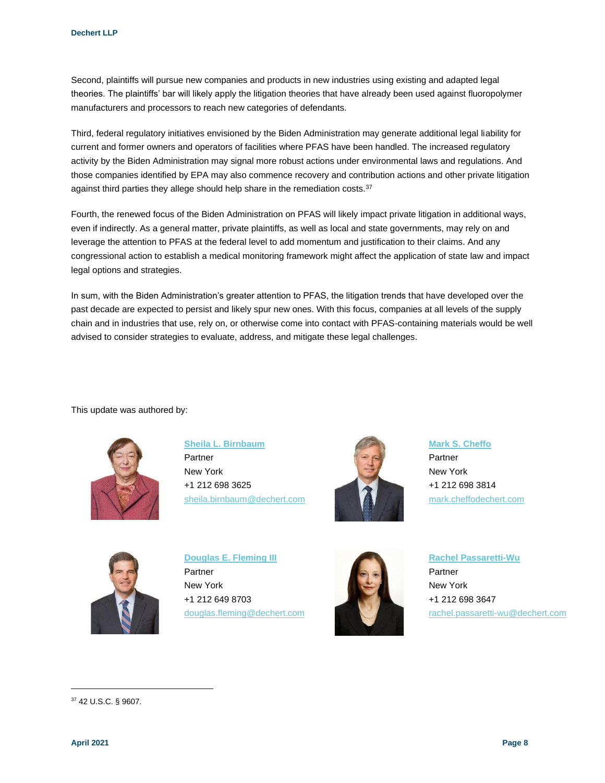Second, plaintiffs will pursue new companies and products in new industries using existing and adapted legal theories. The plaintiffs' bar will likely apply the litigation theories that have already been used against fluoropolymer manufacturers and processors to reach new categories of defendants.

Third, federal regulatory initiatives envisioned by the Biden Administration may generate additional legal liability for current and former owners and operators of facilities where PFAS have been handled. The increased regulatory activity by the Biden Administration may signal more robust actions under environmental laws and regulations. And those companies identified by EPA may also commence recovery and contribution actions and other private litigation against third parties they allege should help share in the remediation costs.<sup>37</sup>

Fourth, the renewed focus of the Biden Administration on PFAS will likely impact private litigation in additional ways, even if indirectly. As a general matter, private plaintiffs, as well as local and state governments, may rely on and leverage the attention to PFAS at the federal level to add momentum and justification to their claims. And any congressional action to establish a medical monitoring framework might affect the application of state law and impact legal options and strategies.

In sum, with the Biden Administration's greater attention to PFAS, the litigation trends that have developed over the past decade are expected to persist and likely spur new ones. With this focus, companies at all levels of the supply chain and in industries that use, rely on, or otherwise come into contact with PFAS-containing materials would be well advised to consider strategies to evaluate, address, and mitigate these legal challenges.

This update was authored by:



**[Sheila L. Birnbaum](https://www.dechert.com/people/b/sheila-l--birnbaum.html?utm_source=vuture&utm_medium=email&utm_campaign=onpoint)**

Partner New York +1 212 698 3625 [sheila.birnbaum@dechert.com](mailto:sheila.birnbaum@dechert.com)



**[Mark S. Cheffo](https://www.dechert.com/people/c/mark-s--cheffo.html?utm_source=vuture&utm_medium=email&utm_campaign=onpoint)**

Partner New York +1 212 698 3814 [mark.cheffodechert.com](mailto:mark.cheffodechert.com)



**[Douglas E. Fleming III](https://www.dechert.com/people/f/douglas-e--fleming-iii.html?utm_source=vuture&utm_medium=email&utm_campaign=onpoint)** Partner New York +1 212 649 8703 [douglas.fleming@dechert.com](mailto:douglas.fleming@dechert.com)



**[Rachel Passaretti-Wu](https://www.dechert.com/people/p/rachel-passaretti-wu.html?utm_source=vuture&utm_medium=email&utm_campaign=onpoint)** Partner New York +1 212 698 3647 [rachel.passaretti-wu@dechert.com](mailto:rachel.passaretti-wu@dechert.com)

<sup>37</sup> 42 U.S.C. § 9607.